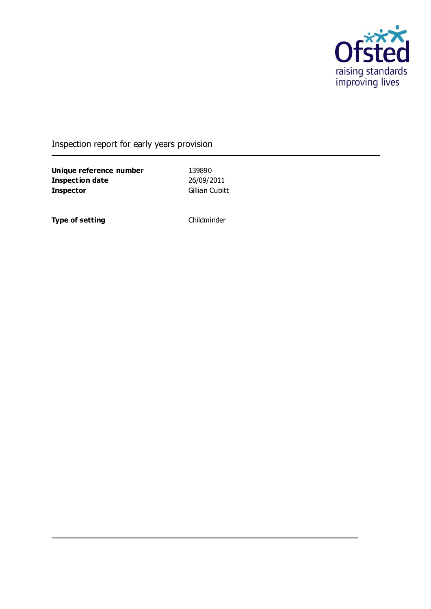

## Inspection report for early years provision

**Unique reference number** 139890<br> **Inspection date** 26/09/2011 **Inspection date Inspector** Gillian Cubitt

**Type of setting** Childminder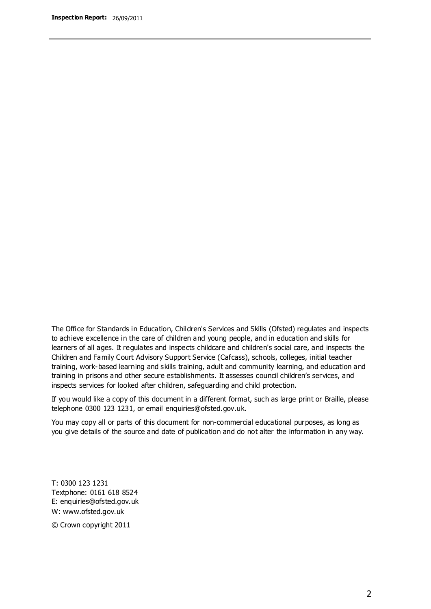The Office for Standards in Education, Children's Services and Skills (Ofsted) regulates and inspects to achieve excellence in the care of children and young people, and in education and skills for learners of all ages. It regulates and inspects childcare and children's social care, and inspects the Children and Family Court Advisory Support Service (Cafcass), schools, colleges, initial teacher training, work-based learning and skills training, adult and community learning, and education and training in prisons and other secure establishments. It assesses council children's services, and inspects services for looked after children, safeguarding and child protection.

If you would like a copy of this document in a different format, such as large print or Braille, please telephone 0300 123 1231, or email enquiries@ofsted.gov.uk.

You may copy all or parts of this document for non-commercial educational purposes, as long as you give details of the source and date of publication and do not alter the information in any way.

T: 0300 123 1231 Textphone: 0161 618 8524 E: enquiries@ofsted.gov.uk W: [www.ofsted.gov.uk](http://www.ofsted.gov.uk/)

© Crown copyright 2011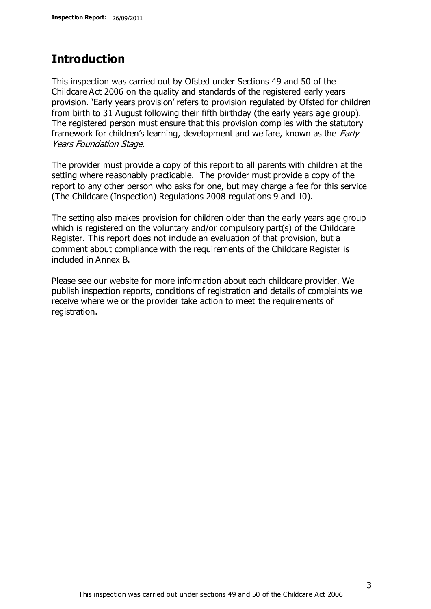## **Introduction**

This inspection was carried out by Ofsted under Sections 49 and 50 of the Childcare Act 2006 on the quality and standards of the registered early years provision. 'Early years provision' refers to provision regulated by Ofsted for children from birth to 31 August following their fifth birthday (the early years age group). The registered person must ensure that this provision complies with the statutory framework for children's learning, development and welfare, known as the *Early* Years Foundation Stage.

The provider must provide a copy of this report to all parents with children at the setting where reasonably practicable. The provider must provide a copy of the report to any other person who asks for one, but may charge a fee for this service (The Childcare (Inspection) Regulations 2008 regulations 9 and 10).

The setting also makes provision for children older than the early years age group which is registered on the voluntary and/or compulsory part(s) of the Childcare Register. This report does not include an evaluation of that provision, but a comment about compliance with the requirements of the Childcare Register is included in Annex B.

Please see our website for more information about each childcare provider. We publish inspection reports, conditions of registration and details of complaints we receive where we or the provider take action to meet the requirements of registration.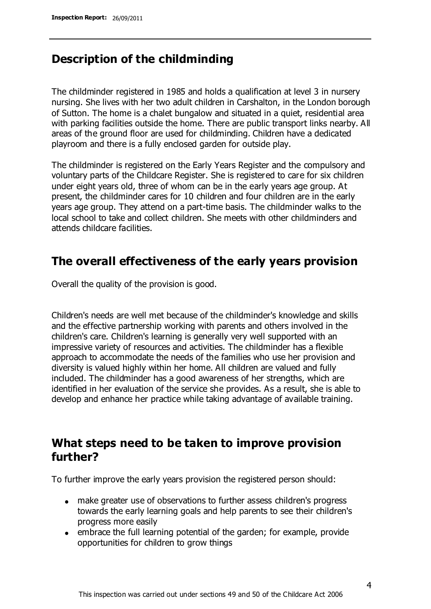## **Description of the childminding**

The childminder registered in 1985 and holds a qualification at level 3 in nursery nursing. She lives with her two adult children in Carshalton, in the London borough of Sutton. The home is a chalet bungalow and situated in a quiet, residential area with parking facilities outside the home. There are public transport links nearby. All areas of the ground floor are used for childminding. Children have a dedicated playroom and there is a fully enclosed garden for outside play.

The childminder is registered on the Early Years Register and the compulsory and voluntary parts of the Childcare Register. She is registered to care for six children under eight years old, three of whom can be in the early years age group. At present, the childminder cares for 10 children and four children are in the early years age group. They attend on a part-time basis. The childminder walks to the local school to take and collect children. She meets with other childminders and attends childcare facilities.

## **The overall effectiveness of the early years provision**

Overall the quality of the provision is good.

Children's needs are well met because of the childminder's knowledge and skills and the effective partnership working with parents and others involved in the children's care. Children's learning is generally very well supported with an impressive variety of resources and activities. The childminder has a flexible approach to accommodate the needs of the families who use her provision and diversity is valued highly within her home. All children are valued and fully included. The childminder has a good awareness of her strengths, which are identified in her evaluation of the service she provides. As a result, she is able to develop and enhance her practice while taking advantage of available training.

## **What steps need to be taken to improve provision further?**

To further improve the early years provision the registered person should:

- make greater use of observations to further assess children's progress towards the early learning goals and help parents to see their children's progress more easily
- embrace the full learning potential of the garden; for example, provide opportunities for children to grow things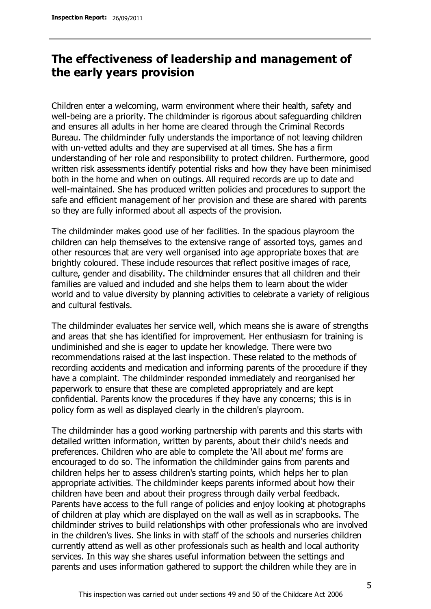## **The effectiveness of leadership and management of the early years provision**

Children enter a welcoming, warm environment where their health, safety and well-being are a priority. The childminder is rigorous about safeguarding children and ensures all adults in her home are cleared through the Criminal Records Bureau. The childminder fully understands the importance of not leaving children with un-vetted adults and they are supervised at all times. She has a firm understanding of her role and responsibility to protect children. Furthermore, good written risk assessments identify potential risks and how they have been minimised both in the home and when on outings. All required records are up to date and well-maintained. She has produced written policies and procedures to support the safe and efficient management of her provision and these are shared with parents so they are fully informed about all aspects of the provision.

The childminder makes good use of her facilities. In the spacious playroom the children can help themselves to the extensive range of assorted toys, games and other resources that are very well organised into age appropriate boxes that are brightly coloured. These include resources that reflect positive images of race, culture, gender and disability. The childminder ensures that all children and their families are valued and included and she helps them to learn about the wider world and to value diversity by planning activities to celebrate a variety of religious and cultural festivals.

The childminder evaluates her service well, which means she is aware of strengths and areas that she has identified for improvement. Her enthusiasm for training is undiminished and she is eager to update her knowledge. There were two recommendations raised at the last inspection. These related to the methods of recording accidents and medication and informing parents of the procedure if they have a complaint. The childminder responded immediately and reorganised her paperwork to ensure that these are completed appropriately and are kept confidential. Parents know the procedures if they have any concerns; this is in policy form as well as displayed clearly in the children's playroom.

The childminder has a good working partnership with parents and this starts with detailed written information, written by parents, about their child's needs and preferences. Children who are able to complete the 'All about me' forms are encouraged to do so. The information the childminder gains from parents and children helps her to assess children's starting points, which helps her to plan appropriate activities. The childminder keeps parents informed about how their children have been and about their progress through daily verbal feedback. Parents have access to the full range of policies and enjoy looking at photographs of children at play which are displayed on the wall as well as in scrapbooks. The childminder strives to build relationships with other professionals who are involved in the children's lives. She links in with staff of the schools and nurseries children currently attend as well as other professionals such as health and local authority services. In this way she shares useful information between the settings and parents and uses information gathered to support the children while they are in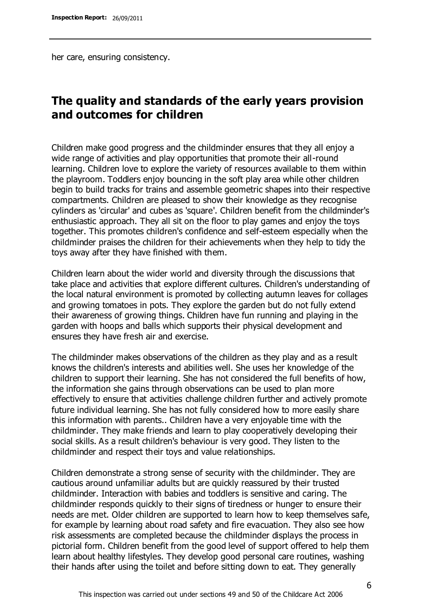her care, ensuring consistency.

## **The quality and standards of the early years provision and outcomes for children**

Children make good progress and the childminder ensures that they all enjoy a wide range of activities and play opportunities that promote their all-round learning. Children love to explore the variety of resources available to them within the playroom. Toddlers enjoy bouncing in the soft play area while other children begin to build tracks for trains and assemble geometric shapes into their respective compartments. Children are pleased to show their knowledge as they recognise cylinders as 'circular' and cubes as 'square'. Children benefit from the childminder's enthusiastic approach. They all sit on the floor to play games and enjoy the toys together. This promotes children's confidence and self-esteem especially when the childminder praises the children for their achievements when they help to tidy the toys away after they have finished with them.

Children learn about the wider world and diversity through the discussions that take place and activities that explore different cultures. Children's understanding of the local natural environment is promoted by collecting autumn leaves for collages and growing tomatoes in pots. They explore the garden but do not fully extend their awareness of growing things. Children have fun running and playing in the garden with hoops and balls which supports their physical development and ensures they have fresh air and exercise.

The childminder makes observations of the children as they play and as a result knows the children's interests and abilities well. She uses her knowledge of the children to support their learning. She has not considered the full benefits of how, the information she gains through observations can be used to plan more effectively to ensure that activities challenge children further and actively promote future individual learning. She has not fully considered how to more easily share this information with parents.. Children have a very enjoyable time with the childminder. They make friends and learn to play cooperatively developing their social skills. As a result children's behaviour is very good. They listen to the childminder and respect their toys and value relationships.

Children demonstrate a strong sense of security with the childminder. They are cautious around unfamiliar adults but are quickly reassured by their trusted childminder. Interaction with babies and toddlers is sensitive and caring. The childminder responds quickly to their signs of tiredness or hunger to ensure their needs are met. Older children are supported to learn how to keep themselves safe, for example by learning about road safety and fire evacuation. They also see how risk assessments are completed because the childminder displays the process in pictorial form. Children benefit from the good level of support offered to help them learn about healthy lifestyles. They develop good personal care routines, washing their hands after using the toilet and before sitting down to eat. They generally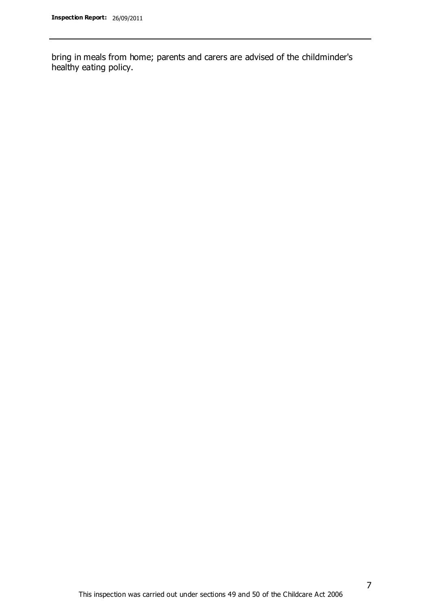bring in meals from home; parents and carers are advised of the childminder's healthy eating policy.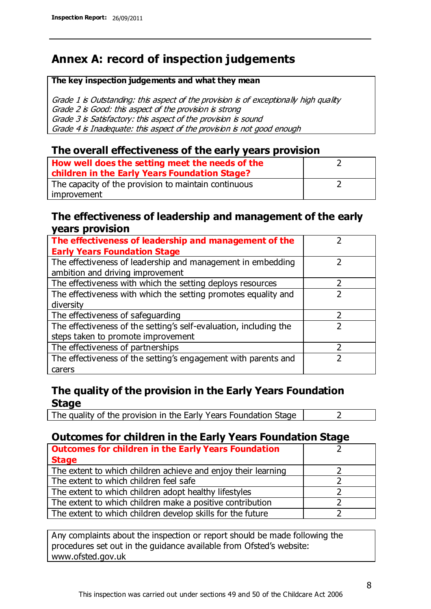## **Annex A: record of inspection judgements**

#### **The key inspection judgements and what they mean**

Grade 1 is Outstanding: this aspect of the provision is of exceptionally high quality Grade 2 is Good: this aspect of the provision is strong Grade 3 is Satisfactory: this aspect of the provision is sound Grade 4 is Inadequate: this aspect of the provision is not good enough

### **The overall effectiveness of the early years provision**

| How well does the setting meet the needs of the<br>children in the Early Years Foundation Stage? |  |
|--------------------------------------------------------------------------------------------------|--|
| The capacity of the provision to maintain continuous                                             |  |
| improvement                                                                                      |  |

### **The effectiveness of leadership and management of the early years provision**

| The effectiveness of leadership and management of the             |  |
|-------------------------------------------------------------------|--|
| <b>Early Years Foundation Stage</b>                               |  |
| The effectiveness of leadership and management in embedding       |  |
| ambition and driving improvement                                  |  |
| The effectiveness with which the setting deploys resources        |  |
| The effectiveness with which the setting promotes equality and    |  |
| diversity                                                         |  |
| The effectiveness of safeguarding                                 |  |
| The effectiveness of the setting's self-evaluation, including the |  |
| steps taken to promote improvement                                |  |
| The effectiveness of partnerships                                 |  |
| The effectiveness of the setting's engagement with parents and    |  |
| carers                                                            |  |

### **The quality of the provision in the Early Years Foundation Stage**

The quality of the provision in the Early Years Foundation Stage  $\vert$  2

### **Outcomes for children in the Early Years Foundation Stage**

| <b>Outcomes for children in the Early Years Foundation</b>    |  |
|---------------------------------------------------------------|--|
| <b>Stage</b>                                                  |  |
| The extent to which children achieve and enjoy their learning |  |
| The extent to which children feel safe                        |  |
| The extent to which children adopt healthy lifestyles         |  |
| The extent to which children make a positive contribution     |  |
| The extent to which children develop skills for the future    |  |

Any complaints about the inspection or report should be made following the procedures set out in the guidance available from Ofsted's website: www.ofsted.gov.uk